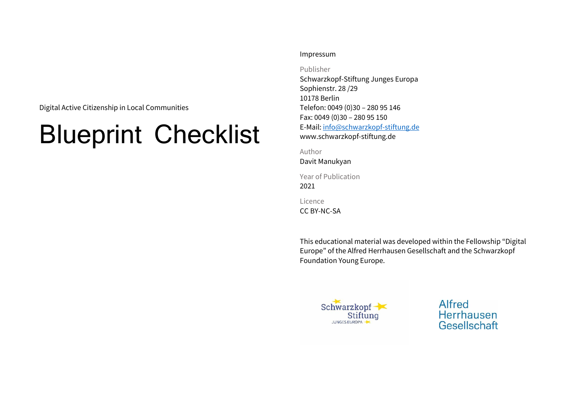Digital Active Citizenship in Local Communities

# Blueprint Checklist

#### Impressum

Publisher

Schwarzkopf-Stiftung Junges Europa Sophienstr. 28 /29 10178 Berlin Telefon: 0049 (0)30 – 280 95 146 Fax: 0049 (0)30 – 280 95 150 E-Mail: [info@schwarzkopf-stiftung.de](mailto:info@schwarzkopf-stiftung.de) www.schwarzkopf-stiftung.de

Author

Davit Manukyan

Year of Publication 2021

Licence

CC BY-NC-SA

This educational material was developed within the Fellowship "Digital Europe" of the Alfred Herrhausen Gesellschaft and the Schwarzkopf Foundation Young Europe.



Alfred Herrhausen Gesellschaft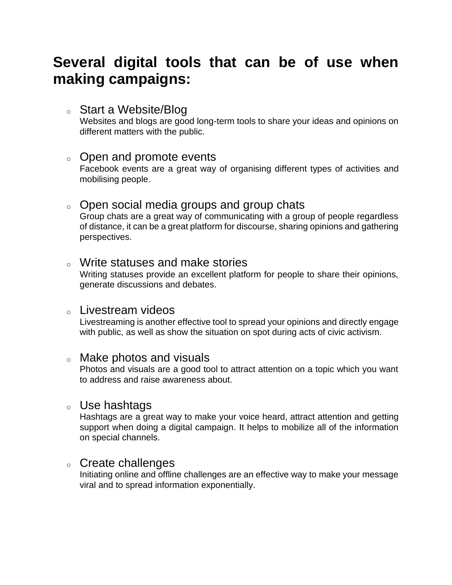# **Several digital tools that can be of use when making campaigns:**

#### <sup>o</sup> Start a Website/Blog

Websites and blogs are good long-term tools to share your ideas and opinions on different matters with the public.

#### <sup>o</sup> Open and promote events

Facebook events are a great way of organising different types of activities and mobilising people.

#### o Open social media groups and group chats

Group chats are a great way of communicating with a group of people regardless of distance, it can be a great platform for discourse, sharing opinions and gathering perspectives.

#### <sup>o</sup> Write statuses and make stories

Writing statuses provide an excellent platform for people to share their opinions, generate discussions and debates.

#### <sup>o</sup> Livestream videos

Livestreaming is another effective tool to spread your opinions and directly engage with public, as well as show the situation on spot during acts of civic activism.

#### <sup>o</sup> Make photos and visuals

Photos and visuals are a good tool to attract attention on a topic which you want to address and raise awareness about.

#### <sup>o</sup> Use hashtags

Hashtags are a great way to make your voice heard, attract attention and getting support when doing a digital campaign. It helps to mobilize all of the information on special channels.

#### <sup>o</sup> Create challenges

Initiating online and offline challenges are an effective way to make your message viral and to spread information exponentially.